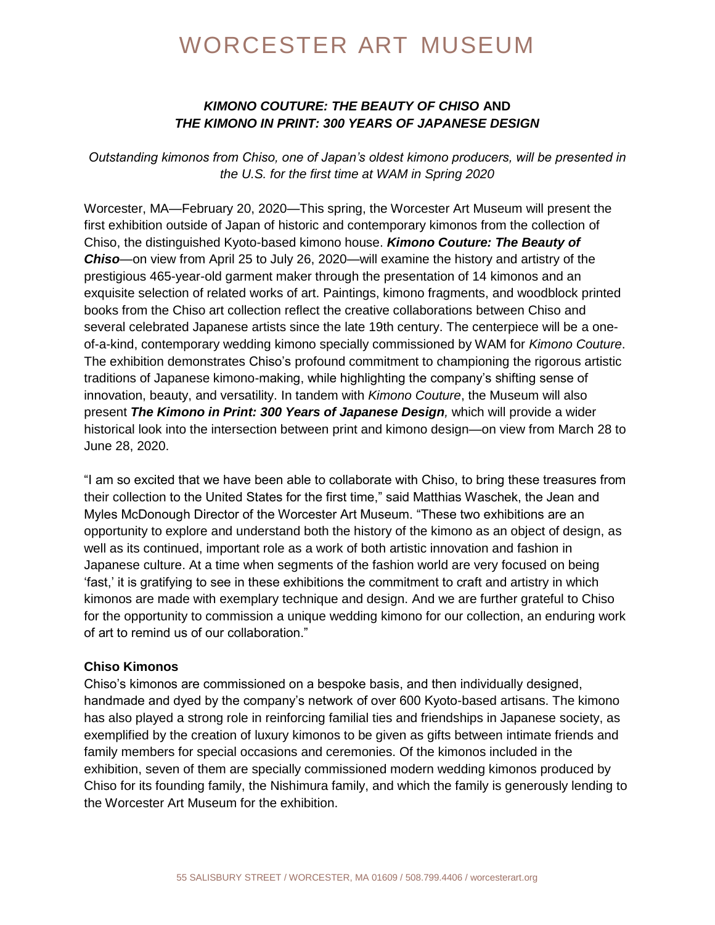# WORCESTER ART MUSEUM

#### *KIMONO COUTURE: THE BEAUTY OF CHISO* **AND** *THE KIMONO IN PRINT: 300 YEARS OF JAPANESE DESIGN*

*Outstanding kimonos from Chiso, one of Japan's oldest kimono producers, will be presented in the U.S. for the first time at WAM in Spring 2020*

Worcester, MA—February 20, 2020—This spring, the Worcester Art Museum will present the first exhibition outside of Japan of historic and contemporary kimonos from the collection of Chiso, the distinguished Kyoto-based kimono house. *Kimono Couture: The Beauty of Chiso*—on view from April 25 to July 26, 2020—will examine the history and artistry of the prestigious 465-year-old garment maker through the presentation of 14 kimonos and an exquisite selection of related works of art. Paintings, kimono fragments, and woodblock printed books from the Chiso art collection reflect the creative collaborations between Chiso and several celebrated Japanese artists since the late 19th century. The centerpiece will be a oneof-a-kind, contemporary wedding kimono specially commissioned by WAM for *Kimono Couture*. The exhibition demonstrates Chiso's profound commitment to championing the rigorous artistic traditions of Japanese kimono-making, while highlighting the company's shifting sense of innovation, beauty, and versatility. In tandem with *Kimono Couture*, the Museum will also present *The Kimono in Print: 300 Years of Japanese Design,* which will provide a wider historical look into the intersection between print and kimono design—on view from March 28 to June 28, 2020.

"I am so excited that we have been able to collaborate with Chiso, to bring these treasures from their collection to the United States for the first time," said Matthias Waschek, the Jean and Myles McDonough Director of the Worcester Art Museum. "These two exhibitions are an opportunity to explore and understand both the history of the kimono as an object of design, as well as its continued, important role as a work of both artistic innovation and fashion in Japanese culture. At a time when segments of the fashion world are very focused on being 'fast,' it is gratifying to see in these exhibitions the commitment to craft and artistry in which kimonos are made with exemplary technique and design. And we are further grateful to Chiso for the opportunity to commission a unique wedding kimono for our collection, an enduring work of art to remind us of our collaboration."

#### **Chiso Kimonos**

Chiso's kimonos are commissioned on a bespoke basis, and then individually designed, handmade and dyed by the company's network of over 600 Kyoto-based artisans. The kimono has also played a strong role in reinforcing familial ties and friendships in Japanese society, as exemplified by the creation of luxury kimonos to be given as gifts between intimate friends and family members for special occasions and ceremonies. Of the kimonos included in the exhibition, seven of them are specially commissioned modern wedding kimonos produced by Chiso for its founding family, the Nishimura family, and which the family is generously lending to the Worcester Art Museum for the exhibition.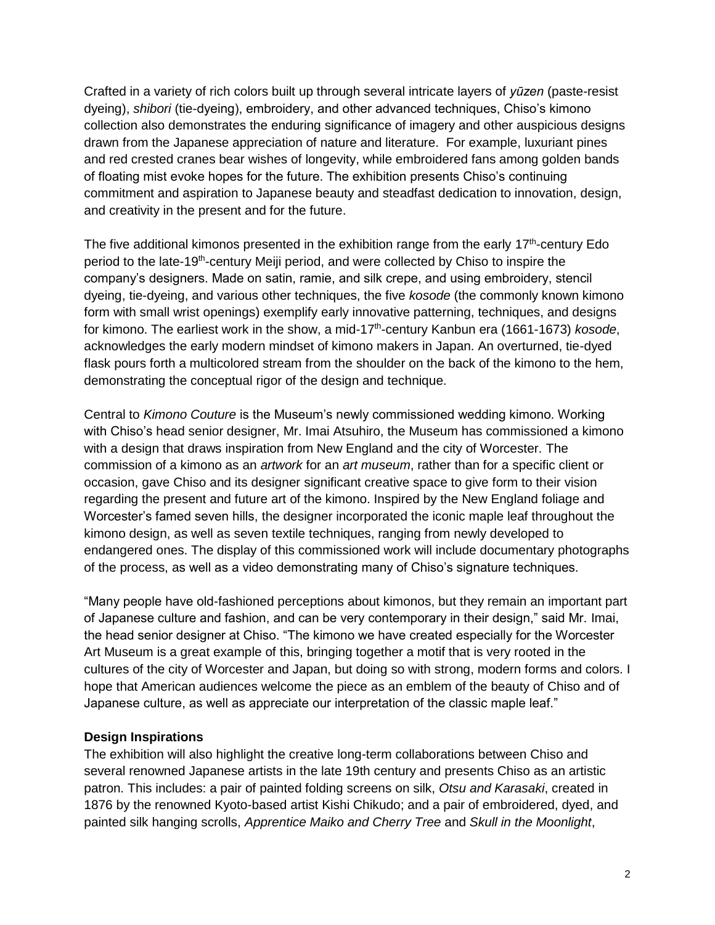Crafted in a variety of rich colors built up through several intricate layers of *yūzen* (paste-resist dyeing), *shibori* (tie-dyeing), embroidery, and other advanced techniques, Chiso's kimono collection also demonstrates the enduring significance of imagery and other auspicious designs drawn from the Japanese appreciation of nature and literature. For example, luxuriant pines and red crested cranes bear wishes of longevity, while embroidered fans among golden bands of floating mist evoke hopes for the future. The exhibition presents Chiso's continuing commitment and aspiration to Japanese beauty and steadfast dedication to innovation, design, and creativity in the present and for the future.

The five additional kimonos presented in the exhibition range from the early 17<sup>th</sup>-century Edo period to the late-19<sup>th</sup>-century Meiji period, and were collected by Chiso to inspire the company's designers. Made on satin, ramie, and silk crepe, and using embroidery, stencil dyeing, tie-dyeing, and various other techniques, the five *kosode* (the commonly known kimono form with small wrist openings) exemplify early innovative patterning, techniques, and designs for kimono. The earliest work in the show, a mid-17<sup>th</sup>-century Kanbun era (1661-1673) *kosode*, acknowledges the early modern mindset of kimono makers in Japan. An overturned, tie-dyed flask pours forth a multicolored stream from the shoulder on the back of the kimono to the hem, demonstrating the conceptual rigor of the design and technique.

Central to *Kimono Couture* is the Museum's newly commissioned wedding kimono. Working with Chiso's head senior designer, Mr. Imai Atsuhiro, the Museum has commissioned a kimono with a design that draws inspiration from New England and the city of Worcester. The commission of a kimono as an *artwork* for an *art museum*, rather than for a specific client or occasion, gave Chiso and its designer significant creative space to give form to their vision regarding the present and future art of the kimono. Inspired by the New England foliage and Worcester's famed seven hills, the designer incorporated the iconic maple leaf throughout the kimono design, as well as seven textile techniques, ranging from newly developed to endangered ones. The display of this commissioned work will include documentary photographs of the process, as well as a video demonstrating many of Chiso's signature techniques.

"Many people have old-fashioned perceptions about kimonos, but they remain an important part of Japanese culture and fashion, and can be very contemporary in their design," said Mr. Imai, the head senior designer at Chiso. "The kimono we have created especially for the Worcester Art Museum is a great example of this, bringing together a motif that is very rooted in the cultures of the city of Worcester and Japan, but doing so with strong, modern forms and colors. I hope that American audiences welcome the piece as an emblem of the beauty of Chiso and of Japanese culture, as well as appreciate our interpretation of the classic maple leaf."

#### **Design Inspirations**

The exhibition will also highlight the creative long-term collaborations between Chiso and several renowned Japanese artists in the late 19th century and presents Chiso as an artistic patron. This includes: a pair of painted folding screens on silk, *Otsu and Karasaki*, created in 1876 by the renowned Kyoto-based artist Kishi Chikudo; and a pair of embroidered, dyed, and painted silk hanging scrolls, *Apprentice Maiko and Cherry Tree* and *Skull in the Moonlight*,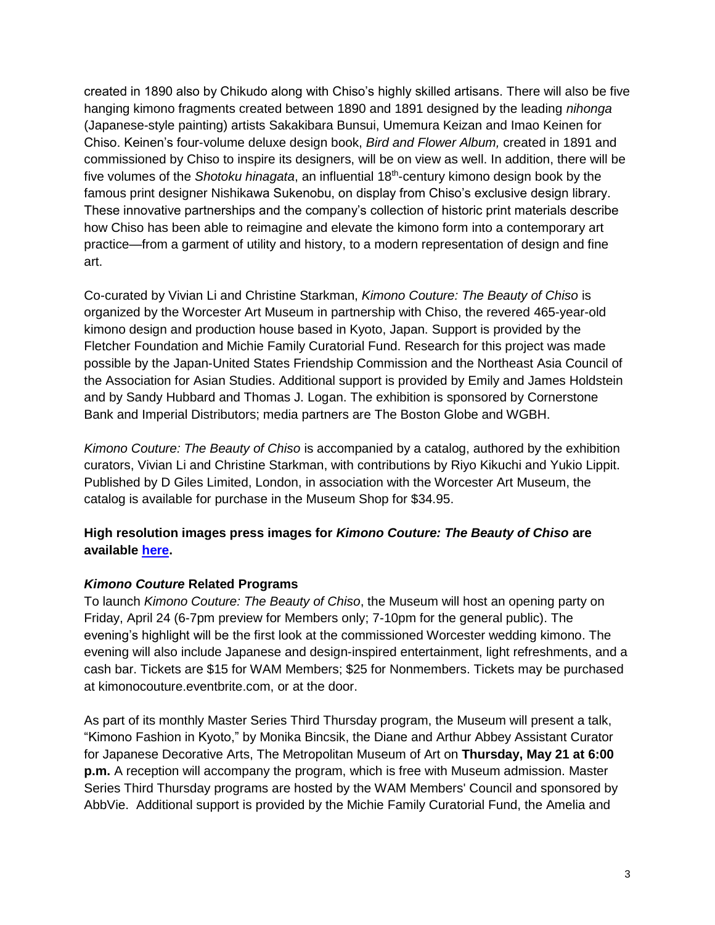created in 1890 also by Chikudo along with Chiso's highly skilled artisans. There will also be five hanging kimono fragments created between 1890 and 1891 designed by the leading *nihonga*  (Japanese-style painting) artists Sakakibara Bunsui, Umemura Keizan and Imao Keinen for Chiso. Keinen's four-volume deluxe design book, *Bird and Flower Album,* created in 1891 and commissioned by Chiso to inspire its designers, will be on view as well. In addition, there will be five volumes of the Shotoku hinagata, an influential 18<sup>th</sup>-century kimono design book by the famous print designer Nishikawa Sukenobu, on display from Chiso's exclusive design library. These innovative partnerships and the company's collection of historic print materials describe how Chiso has been able to reimagine and elevate the kimono form into a contemporary art practice—from a garment of utility and history, to a modern representation of design and fine art.

Co-curated by Vivian Li and Christine Starkman, *Kimono Couture: The Beauty of Chiso* is organized by the Worcester Art Museum in partnership with Chiso, the revered 465-year-old kimono design and production house based in Kyoto, Japan. Support is provided by the Fletcher Foundation and Michie Family Curatorial Fund. Research for this project was made possible by the Japan-United States Friendship Commission and the Northeast Asia Council of the Association for Asian Studies. Additional support is provided by Emily and James Holdstein and by Sandy Hubbard and Thomas J. Logan. The exhibition is sponsored by Cornerstone Bank and Imperial Distributors; media partners are The Boston Globe and WGBH.

*Kimono Couture: The Beauty of Chiso* is accompanied by a catalog, authored by the exhibition curators, Vivian Li and Christine Starkman, with contributions by Riyo Kikuchi and Yukio Lippit. Published by D Giles Limited, London, in association with the Worcester Art Museum, the catalog is available for purchase in the Museum Shop for \$34.95.

## **High resolution images press images for** *Kimono Couture: The Beauty of Chiso* **are available [here.](https://www.worcesterart.org/exhibitions/kimono-couture/press/)**

## *Kimono Couture* **Related Programs**

To launch *Kimono Couture: The Beauty of Chiso*, the Museum will host an opening party on Friday, April 24 (6-7pm preview for Members only; 7-10pm for the general public). The evening's highlight will be the first look at the commissioned Worcester wedding kimono. The evening will also include Japanese and design-inspired entertainment, light refreshments, and a cash bar. Tickets are \$15 for WAM Members; \$25 for Nonmembers. Tickets may be purchased at kimonocouture.eventbrite.com, or at the door.

As part of its monthly Master Series Third Thursday program, the Museum will present a talk, "Kimono Fashion in Kyoto," by Monika Bincsik, the Diane and Arthur Abbey Assistant Curator for Japanese Decorative Arts, The Metropolitan Museum of Art on **Thursday, May 21 at 6:00 p.m.** A reception will accompany the program, which is free with Museum admission. Master Series Third Thursday programs are hosted by the WAM Members' Council and sponsored by AbbVie. Additional support is provided by the Michie Family Curatorial Fund, the Amelia and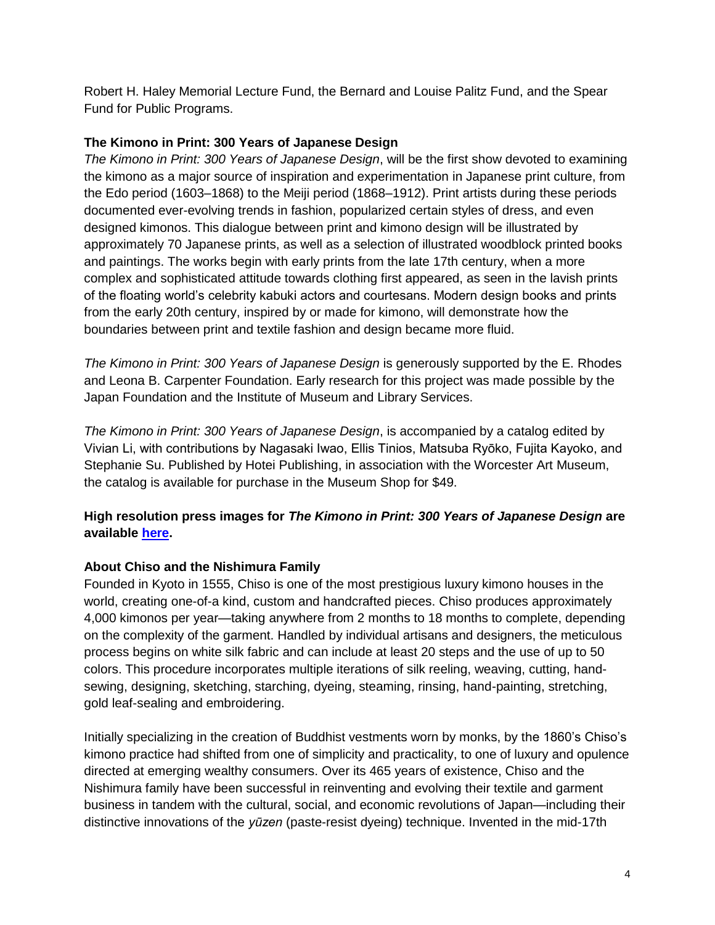Robert H. Haley Memorial Lecture Fund, the Bernard and Louise Palitz Fund, and the Spear Fund for Public Programs.

#### **The Kimono in Print: 300 Years of Japanese Design**

*The Kimono in Print: 300 Years of Japanese Design*, will be the first show devoted to examining the kimono as a major source of inspiration and experimentation in Japanese print culture, from the Edo period (1603–1868) to the Meiji period (1868–1912). Print artists during these periods documented ever-evolving trends in fashion, popularized certain styles of dress, and even designed kimonos. This dialogue between print and kimono design will be illustrated by approximately 70 Japanese prints, as well as a selection of illustrated woodblock printed books and paintings. The works begin with early prints from the late 17th century, when a more complex and sophisticated attitude towards clothing first appeared, as seen in the lavish prints of the floating world's celebrity kabuki actors and courtesans. Modern design books and prints from the early 20th century, inspired by or made for kimono, will demonstrate how the boundaries between print and textile fashion and design became more fluid.

*The Kimono in Print: 300 Years of Japanese Design* is generously supported by the E. Rhodes and Leona B. Carpenter Foundation. Early research for this project was made possible by the Japan Foundation and the Institute of Museum and Library Services.

*The Kimono in Print: 300 Years of Japanese Design*, is accompanied by a catalog edited by Vivian Li, with contributions by Nagasaki Iwao, Ellis Tinios, Matsuba Ryōko, Fujita Kayoko, and Stephanie Su. Published by Hotei Publishing, in association with the Worcester Art Museum, the catalog is available for purchase in the Museum Shop for \$49.

## **High resolution press images for** *The Kimono in Print: 300 Years of Japanese Design* **are available [here.](https://www.worcesterart.org/exhibitions/kimono-in-print/press/)**

#### **About Chiso and the Nishimura Family**

Founded in Kyoto in 1555, Chiso is one of the most prestigious luxury kimono houses in the world, creating one-of-a kind, custom and handcrafted pieces. Chiso produces approximately 4,000 kimonos per year—taking anywhere from 2 months to 18 months to complete, depending on the complexity of the garment. Handled by individual artisans and designers, the meticulous process begins on white silk fabric and can include at least 20 steps and the use of up to 50 colors. This procedure incorporates multiple iterations of silk reeling, weaving, cutting, handsewing, designing, sketching, starching, dyeing, steaming, rinsing, hand-painting, stretching, gold leaf-sealing and embroidering.

Initially specializing in the creation of Buddhist vestments worn by monks, by the 1860's Chiso's kimono practice had shifted from one of simplicity and practicality, to one of luxury and opulence directed at emerging wealthy consumers. Over its 465 years of existence, Chiso and the Nishimura family have been successful in reinventing and evolving their textile and garment business in tandem with the cultural, social, and economic revolutions of Japan—including their distinctive innovations of the *yūzen* (paste-resist dyeing) technique. Invented in the mid-17th